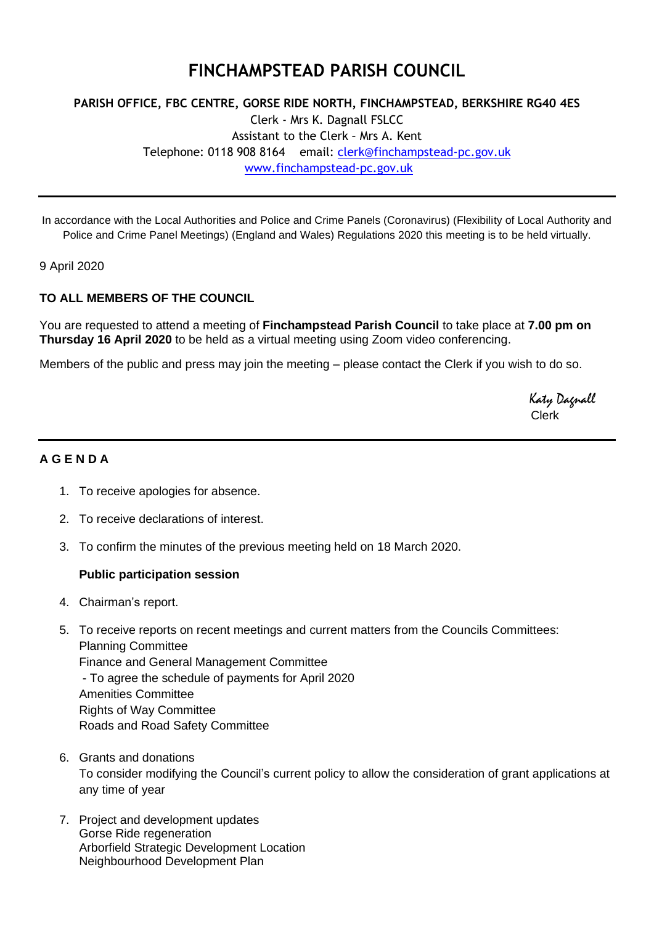# **FINCHAMPSTEAD PARISH COUNCIL**

## **PARISH OFFICE, FBC CENTRE, GORSE RIDE NORTH, FINCHAMPSTEAD, BERKSHIRE RG40 4ES** Clerk - Mrs K. Dagnall FSLCC Assistant to the Clerk – Mrs A. Kent Telephone: 0118 908 8164 email: [clerk@finchampstead-pc.gov.uk](mailto:clerk@finchampstead-pc.gov.uk) [www.finchampstead-pc.gov.uk](http://www.finchampstead-pc.gov.uk/)

In accordance with the Local Authorities and Police and Crime Panels (Coronavirus) (Flexibility of Local Authority and Police and Crime Panel Meetings) (England and Wales) Regulations 2020 this meeting is to be held virtually.

9 April 2020

### **TO ALL MEMBERS OF THE COUNCIL**

You are requested to attend a meeting of **Finchampstead Parish Council** to take place at **7.00 pm on Thursday 16 April 2020** to be held as a virtual meeting using Zoom video conferencing.

Members of the public and press may join the meeting – please contact the Clerk if you wish to do so.

 Katy Dagnall Clerk

#### **A G E N D A**

- 1. To receive apologies for absence.
- 2. To receive declarations of interest.
- 3. To confirm the minutes of the previous meeting held on 18 March 2020.

#### **Public participation session**

- 4. Chairman's report.
- 5. To receive reports on recent meetings and current matters from the Councils Committees: Planning Committee Finance and General Management Committee - To agree the schedule of payments for April 2020 Amenities Committee Rights of Way Committee Roads and Road Safety Committee
- 6. Grants and donations To consider modifying the Council's current policy to allow the consideration of grant applications at any time of year
- 7. Project and development updates Gorse Ride regeneration Arborfield Strategic Development Location Neighbourhood Development Plan